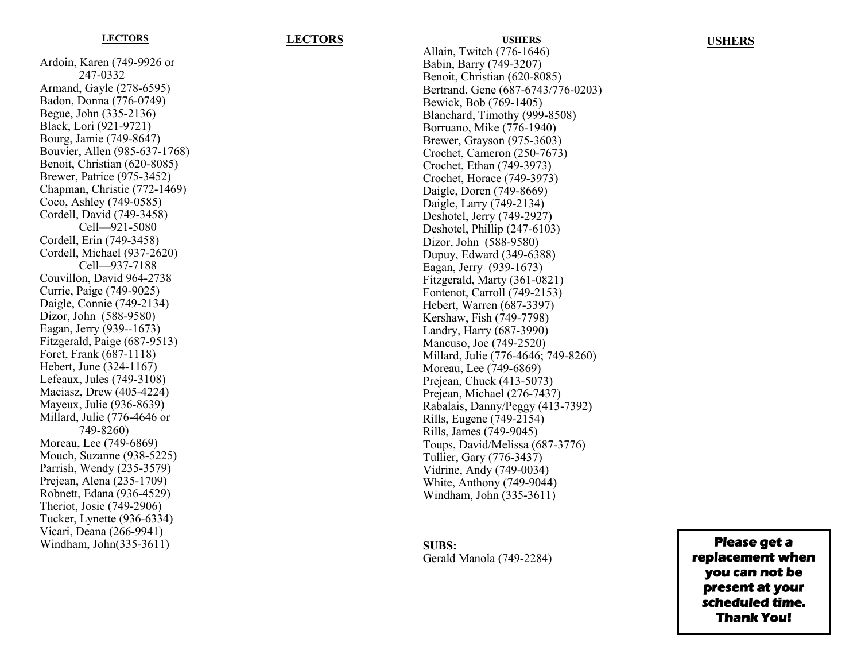### **LECTORS**

Ardoin, Karen (749 -9926 or 247 -0332 Armand, Gayle (278 -6595) Badon, Donna (776 -0749) Begue, John (335 -2136) Black, Lori (921 -9721) Bourg, Jamie (749 -8647) Bouvier, Allen (985 -637 -1768) Benoit, Christian (620 -8085) Brewer, Patrice (975 -3452) Chapman, Christie (772 -1469) Coco, Ashley (749 -0585) Cordell, David (749 -3458) Cell —921 -5080 Cordell, Erin (749 -3458) Cordell, Michael (937 -2620) Cell —937 -7188 Couvillon, David 964 -2738 Currie, Paige (749 -9025) Daigle, Connie (749 -2134) Dizor, John (588 -9580) Eagan, Jerry (939--1673) Fitzgerald, Paige (687 -9513) Foret, Frank (687 -1118) Hebert, June (324 -1167) Lefeaux, Jules (749 -3108) Maciasz, Drew (405 -4224) Mayeux, Julie (936 -8639) Millard, Julie (776 -4646 or 749 -8260) Moreau, Lee (749 -6869) Mouch, Suzanne (938 -5225) Parrish, Wendy (235 -3579) Prejean, Alena (235 -1709) Robnett, Edana (936 -4529) Theriot, Josie (749 -2906) Tucker, Lynette (936 -6334) Vicari, Deana (266 -9941) Windham, John(335 -3611)

# **LECTORS USHERS**

Allain, Twitch (776 -1646) Babin, Barry (749 -3207) Benoit, Christian (620 -8085) Bertrand, Gene (687 -6743/776 -0203) Bewick, Bob (769 -1405) Blanchard, Timothy (999 -8508) Borruano, Mike (776 -1940) Brewer, Grayson (975 -3603) Crochet, Cameron (250 -7673) Crochet, Ethan (749 -3973) Crochet, Horace (749 -3973) Daigle, Doren (749 -8669) Daigle, Larry (749 -2134) Deshotel, Jerry (749 -2927) Deshotel, Phillip (247 -6103) Dizor, John (588 -9580) Dupuy, Edward (349 -6388) Eagan, Jerry (939 -1673) Fitzgerald, Marty (361 -0821) Fontenot, Carroll (749 -2153) Hebert, Warren (687 -3397) Kershaw, Fish (749 -7798) Landry, Harry (687 -3990) Mancuso, Joe (749 -2520) Millard, Julie (776 -4646; 749 -8260) Moreau, Lee (749 -6869) Prejean, Chuck (413 -5073) Prejean, Michael (276 -7437) Rabalais, Danny/Peggy (413 -7392) Rills, Eugene (749 -2154) Rills, James (749 -9045) Toups, David/Melissa (687 -3776) Tullier, Gary (776 -3437) Vidrine, Andy (749 -0034) White, Anthony (749 -9044) Windham, John (335 -3611)

**USHERS**

**SUBS:**  Gerald Manola (749 -2284)

**Please get a replacement when you can not be present at your scheduled time. Thank You!**